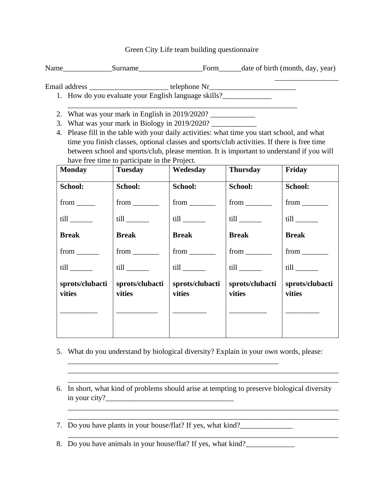Green City Life team building questionnaire

Name Surname Form date of birth (month, day, year)

\_\_\_\_\_\_\_\_\_\_\_\_\_\_\_\_\_

Email address \_\_\_\_\_\_\_\_\_\_\_\_\_\_\_\_\_\_\_\_\_\_\_\_\_\_\_\_\_\_telephone Nr

\_\_\_\_\_\_\_\_\_\_\_\_\_\_\_\_\_\_\_\_\_\_\_\_\_\_\_\_\_\_\_\_\_\_\_\_\_\_\_\_\_\_\_\_\_\_\_\_\_\_\_\_\_\_\_\_\_\_\_\_\_

- 1. How do you evaluate your English language skills?
- 2. What was your mark in English in 2019/2020?
- 3. What was your mark in Biology in 2019/2020?
- 4. Please fill in the table with your daily activities: what time you start school, and what time you finish classes, optional classes and sports/club activities. If there is free time between school and sports/club, please mention. It is important to understand if you will have free time to participate in the Project.

| <b>Monday</b>                                                                                                 | <b>Tuesday</b>                   | Wedesday                         | <b>Thursday</b>           | Friday                       |
|---------------------------------------------------------------------------------------------------------------|----------------------------------|----------------------------------|---------------------------|------------------------------|
| School:                                                                                                       | School:                          | School:                          | School:                   | School:                      |
| $from$ <sub>______</sub>                                                                                      |                                  |                                  |                           | $from$ <sub>__________</sub> |
| till and the state of the state of the state of the state of the state of the state of the state of the state |                                  | $\text{till}$ <sub>_______</sub> |                           |                              |
| <b>Break</b>                                                                                                  | <b>Break</b>                     | <b>Break</b>                     | <b>Break</b>              | <b>Break</b>                 |
| $from$ <sub>_________</sub>                                                                                   | $from$ <sub>__________</sub>     | $from$ <sub>__________</sub>     |                           | $from$ <sub>________</sub>   |
|                                                                                                               | $\text{till}$ <sub>_______</sub> |                                  |                           |                              |
| sprots/clubacti<br>vities                                                                                     | sprots/clubacti<br>vities        | sprots/clubacti<br>vities        | sprots/clubacti<br>vities | sprots/clubacti<br>vities    |
|                                                                                                               |                                  |                                  |                           |                              |

- 5. What do you understand by biological diversity? Explain in your own words, please:
- 6. In short, what kind of problems should arise at tempting to preserve biological diversity in your city? $\frac{1}{2}$

\_\_\_\_\_\_\_\_\_\_\_\_\_\_\_\_\_\_\_\_\_\_\_\_\_\_\_\_\_\_\_\_\_\_\_\_\_\_\_\_\_\_\_\_\_\_\_\_\_\_\_\_\_\_\_\_\_\_\_\_\_\_\_\_\_\_\_\_\_\_\_\_ \_\_\_\_\_\_\_\_\_\_\_\_\_\_\_\_\_\_\_\_\_\_\_\_\_\_\_\_\_\_\_\_\_\_\_\_\_\_\_\_\_\_\_\_\_\_\_\_\_\_\_\_\_\_\_\_\_\_\_\_\_\_\_\_\_\_\_\_\_\_\_\_

\_\_\_\_\_\_\_\_\_\_\_\_\_\_\_\_\_\_\_\_\_\_\_\_\_\_\_\_\_\_\_\_\_\_\_\_\_\_\_\_\_\_\_\_\_\_\_\_\_\_\_\_\_\_\_\_\_\_\_\_\_\_\_\_\_\_\_\_\_\_\_\_ \_\_\_\_\_\_\_\_\_\_\_\_\_\_\_\_\_\_\_\_\_\_\_\_\_\_\_\_\_\_\_\_\_\_\_\_\_\_\_\_\_\_\_\_\_\_\_\_\_\_\_\_\_\_\_\_\_\_\_\_\_\_\_\_\_\_\_\_\_\_\_\_

7. Do you have plants in your house/flat? If yes, what kind?\_\_\_\_\_\_\_\_\_\_\_\_\_\_\_\_\_\_\_\_

8. Do you have animals in your house/flat? If yes, what kind?

\_\_\_\_\_\_\_\_\_\_\_\_\_\_\_\_\_\_\_\_\_\_\_\_\_\_\_\_\_\_\_\_\_\_\_\_\_\_\_\_\_\_\_\_\_\_\_\_\_\_\_\_\_\_\_\_